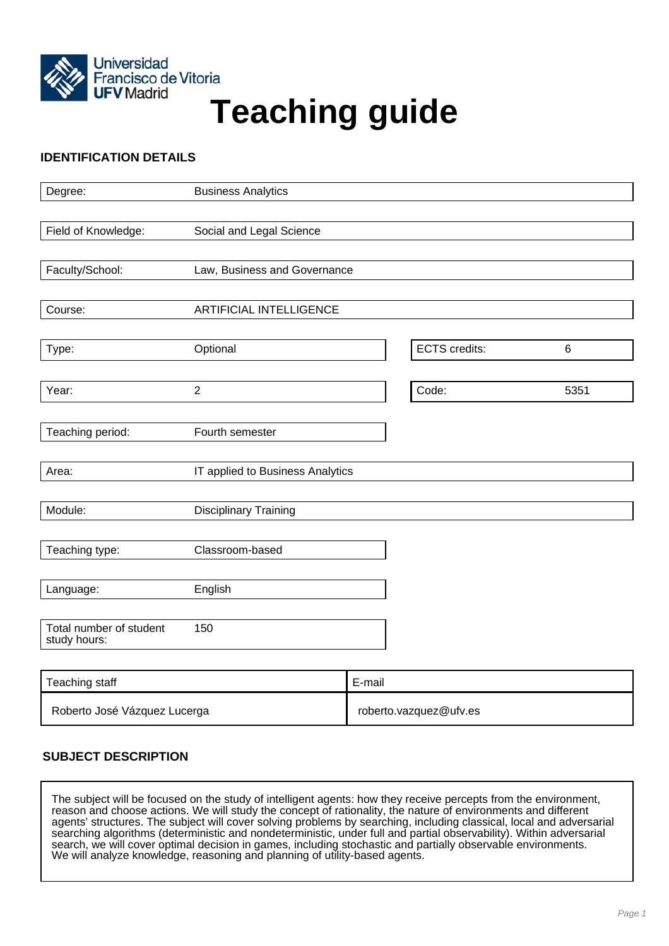

# Francisco de Vitoria<br>UFV Madrid<br>
Teaching guide

# **IDENTIFICATION DETAILS**

| Degree:                 | <b>Business Analytics</b>        |        |                      |                |
|-------------------------|----------------------------------|--------|----------------------|----------------|
|                         |                                  |        |                      |                |
| Field of Knowledge:     | Social and Legal Science         |        |                      |                |
|                         |                                  |        |                      |                |
| Faculty/School:         | Law, Business and Governance     |        |                      |                |
|                         |                                  |        |                      |                |
| Course:                 | <b>ARTIFICIAL INTELLIGENCE</b>   |        |                      |                |
|                         |                                  |        |                      |                |
| Type:                   | Optional                         |        | <b>ECTS</b> credits: | $6\phantom{1}$ |
|                         |                                  |        |                      |                |
| Year:                   | $\overline{2}$                   |        | Code:                | 5351           |
|                         |                                  |        |                      |                |
| Teaching period:        | Fourth semester                  |        |                      |                |
|                         |                                  |        |                      |                |
| Area:                   | IT applied to Business Analytics |        |                      |                |
|                         |                                  |        |                      |                |
| Module:                 | <b>Disciplinary Training</b>     |        |                      |                |
|                         |                                  |        |                      |                |
| Teaching type:          | Classroom-based                  |        |                      |                |
|                         |                                  |        |                      |                |
| Language:               | English                          |        |                      |                |
|                         |                                  |        |                      |                |
| Total number of student | 150                              |        |                      |                |
| study hours:            |                                  |        |                      |                |
|                         |                                  |        |                      |                |
| Teaching staff          |                                  | E-mail |                      |                |

| Teaching staff               | E-mail                 |  |  |
|------------------------------|------------------------|--|--|
| Roberto José Vázquez Lucerga | roberto.vazquez@ufv.es |  |  |

# **SUBJECT DESCRIPTION**

The subject will be focused on the study of intelligent agents: how they receive percepts from the environment, reason and choose actions. We will study the concept of rationality, the nature of environments and different agents' structures. The subject will cover solving problems by searching, including classical, local and adversarial searching algorithms (deterministic and nondeterministic, under full and partial observability). Within adversarial search, we will cover optimal decision in games, including stochastic and partially observable environments. We will analyze knowledge, reasoning and planning of utility-based agents.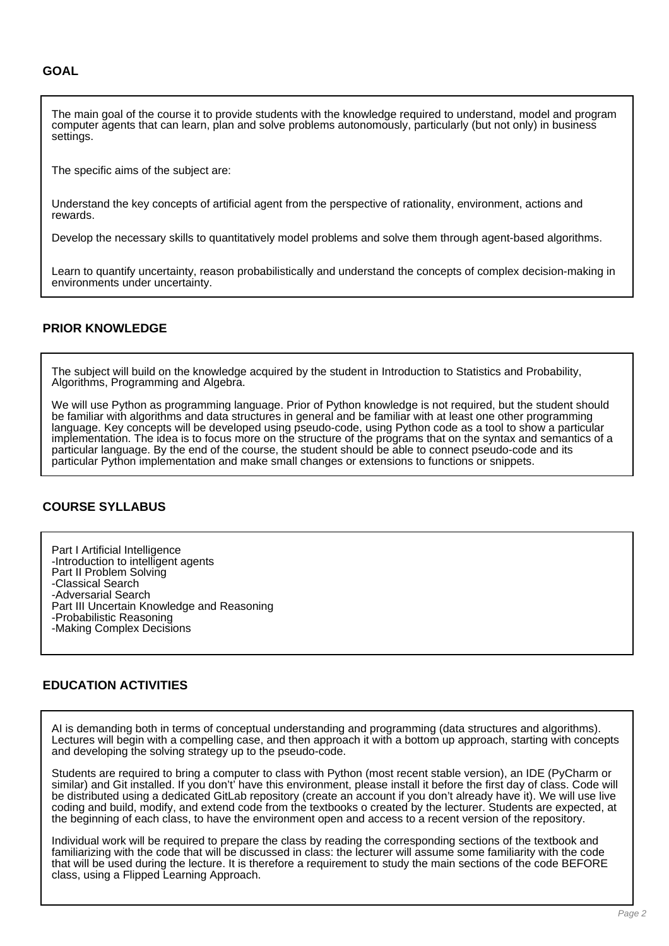## **GOAL**

The main goal of the course it to provide students with the knowledge required to understand, model and program computer agents that can learn, plan and solve problems autonomously, particularly (but not only) in business settings.

The specific aims of the subject are:

Understand the key concepts of artificial agent from the perspective of rationality, environment, actions and rewards.

Develop the necessary skills to quantitatively model problems and solve them through agent-based algorithms.

Learn to quantify uncertainty, reason probabilistically and understand the concepts of complex decision-making in environments under uncertainty.

## **PRIOR KNOWLEDGE**

The subject will build on the knowledge acquired by the student in Introduction to Statistics and Probability, Algorithms, Programming and Algebra.

We will use Python as programming language. Prior of Python knowledge is not required, but the student should be familiar with algorithms and data structures in general and be familiar with at least one other programming language. Key concepts will be developed using pseudo-code, using Python code as a tool to show a particular implementation. The idea is to focus more on the structure of the programs that on the syntax and semantics of a particular language. By the end of the course, the student should be able to connect pseudo-code and its particular Python implementation and make small changes or extensions to functions or snippets.

#### **COURSE SYLLABUS**

Part I Artificial Intelligence -Introduction to intelligent agents Part II Problem Solving -Classical Search -Adversarial Search Part III Uncertain Knowledge and Reasoning -Probabilistic Reasoning -Making Complex Decisions

## **EDUCATION ACTIVITIES**

AI is demanding both in terms of conceptual understanding and programming (data structures and algorithms). Lectures will begin with a compelling case, and then approach it with a bottom up approach, starting with concepts and developing the solving strategy up to the pseudo-code.

Students are required to bring a computer to class with Python (most recent stable version), an IDE (PyCharm or similar) and Git installed. If you don't' have this environment, please install it before the first day of class. Code will be distributed using a dedicated GitLab repository (create an account if you don't already have it). We will use live coding and build, modify, and extend code from the textbooks o created by the lecturer. Students are expected, at the beginning of each class, to have the environment open and access to a recent version of the repository.

Individual work will be required to prepare the class by reading the corresponding sections of the textbook and familiarizing with the code that will be discussed in class: the lecturer will assume some familiarity with the code that will be used during the lecture. It is therefore a requirement to study the main sections of the code BEFORE class, using a Flipped Learning Approach.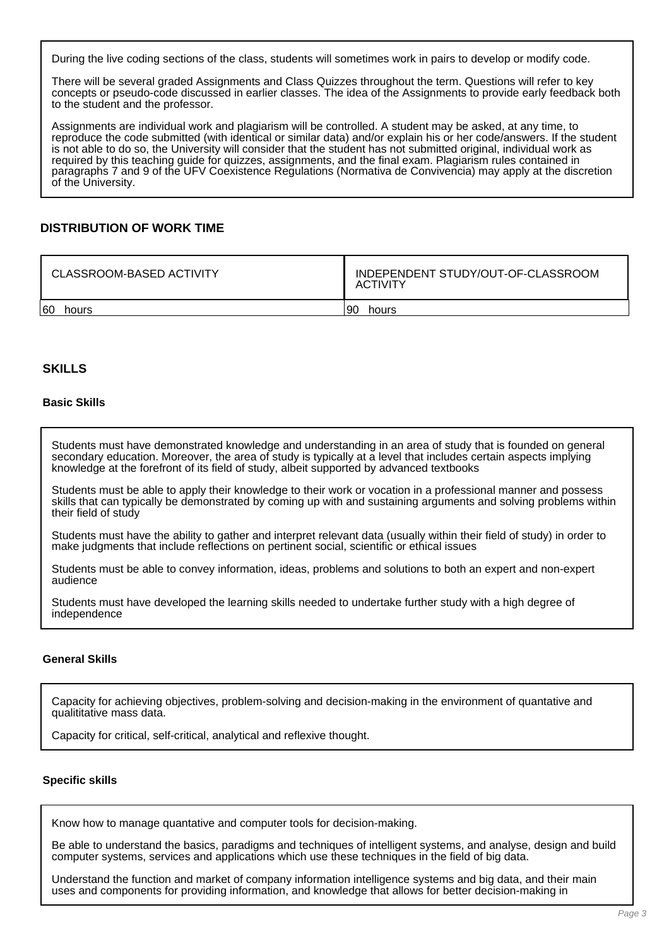During the live coding sections of the class, students will sometimes work in pairs to develop or modify code.

There will be several graded Assignments and Class Quizzes throughout the term. Questions will refer to key concepts or pseudo-code discussed in earlier classes. The idea of the Assignments to provide early feedback both to the student and the professor.

Assignments are individual work and plagiarism will be controlled. A student may be asked, at any time, to reproduce the code submitted (with identical or similar data) and/or explain his or her code/answers. If the student is not able to do so, the University will consider that the student has not submitted original, individual work as required by this teaching guide for quizzes, assignments, and the final exam. Plagiarism rules contained in paragraphs 7 and 9 of the UFV Coexistence Regulations (Normativa de Convivencia) may apply at the discretion of the University.

# **DISTRIBUTION OF WORK TIME**

| CLASSROOM-BASED ACTIVITY | INDEPENDENT STUDY/OUT-OF-CLASSROOM<br><b>ACTIVITY</b> |
|--------------------------|-------------------------------------------------------|
| 60                       | 90                                                    |
| hours                    | hours                                                 |

## **SKILLS**

#### **Basic Skills**

Students must have demonstrated knowledge and understanding in an area of study that is founded on general secondary education. Moreover, the area of study is typically at a level that includes certain aspects implying knowledge at the forefront of its field of study, albeit supported by advanced textbooks

Students must be able to apply their knowledge to their work or vocation in a professional manner and possess skills that can typically be demonstrated by coming up with and sustaining arguments and solving problems within their field of study

Students must have the ability to gather and interpret relevant data (usually within their field of study) in order to make judgments that include reflections on pertinent social, scientific or ethical issues

Students must be able to convey information, ideas, problems and solutions to both an expert and non-expert audience

Students must have developed the learning skills needed to undertake further study with a high degree of independence

#### **General Skills**

Capacity for achieving objectives, problem-solving and decision-making in the environment of quantative and qualititative mass data.

Capacity for critical, self-critical, analytical and reflexive thought.

#### **Specific skills**

Know how to manage quantative and computer tools for decision-making.

Be able to understand the basics, paradigms and techniques of intelligent systems, and analyse, design and build computer systems, services and applications which use these techniques in the field of big data.

Understand the function and market of company information intelligence systems and big data, and their main uses and components for providing information, and knowledge that allows for better decision-making in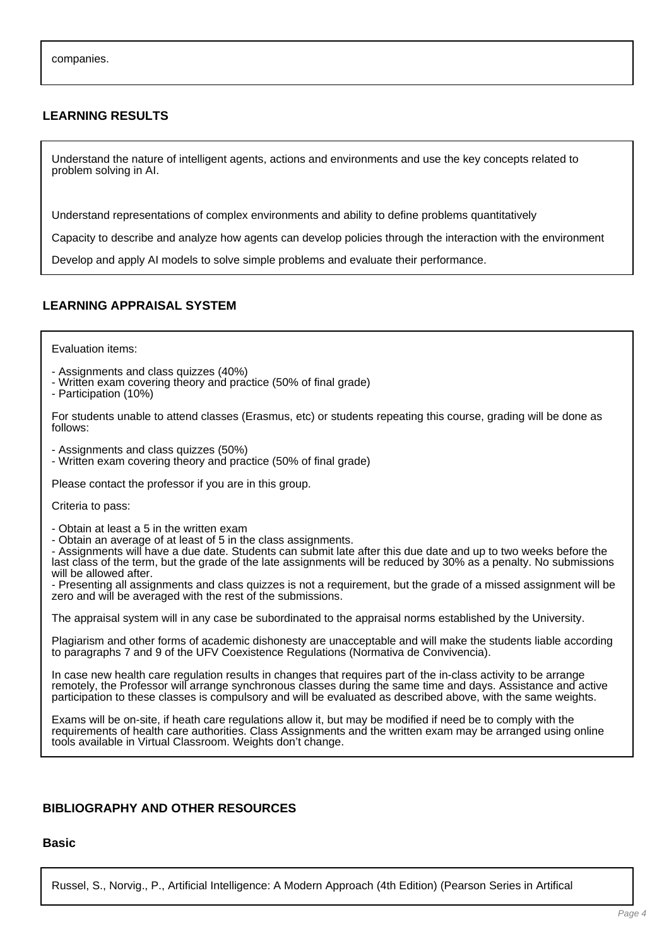## **LEARNING RESULTS**

Understand the nature of intelligent agents, actions and environments and use the key concepts related to problem solving in AI.

Understand representations of complex environments and ability to define problems quantitatively

Capacity to describe and analyze how agents can develop policies through the interaction with the environment

Develop and apply AI models to solve simple problems and evaluate their performance.

## **LEARNING APPRAISAL SYSTEM**

Evaluation items:

- Assignments and class quizzes (40%)

- Written exam covering theory and practice (50% of final grade)

- Participation (10%)

For students unable to attend classes (Erasmus, etc) or students repeating this course, grading will be done as follows:

- Assignments and class quizzes (50%)

- Written exam covering theory and practice (50% of final grade)

Please contact the professor if you are in this group.

Criteria to pass:

- Obtain at least a 5 in the written exam

- Obtain an average of at least of 5 in the class assignments.

- Assignments will have a due date. Students can submit late after this due date and up to two weeks before the last class of the term, but the grade of the late assignments will be reduced by 30% as a penalty. No submissions will be allowed after.

- Presenting all assignments and class quizzes is not a requirement, but the grade of a missed assignment will be zero and will be averaged with the rest of the submissions.

The appraisal system will in any case be subordinated to the appraisal norms established by the University.

Plagiarism and other forms of academic dishonesty are unacceptable and will make the students liable according to paragraphs 7 and 9 of the UFV Coexistence Regulations (Normativa de Convivencia).

In case new health care regulation results in changes that requires part of the in-class activity to be arrange remotely, the Professor will arrange synchronous classes during the same time and days. Assistance and active participation to these classes is compulsory and will be evaluated as described above, with the same weights.

Exams will be on-site, if heath care regulations allow it, but may be modified if need be to comply with the requirements of health care authorities. Class Assignments and the written exam may be arranged using online tools available in Virtual Classroom. Weights don't change.

### **BIBLIOGRAPHY AND OTHER RESOURCES**

#### **Basic**

Russel, S., Norvig., P., Artificial Intelligence: A Modern Approach (4th Edition) (Pearson Series in Artifical